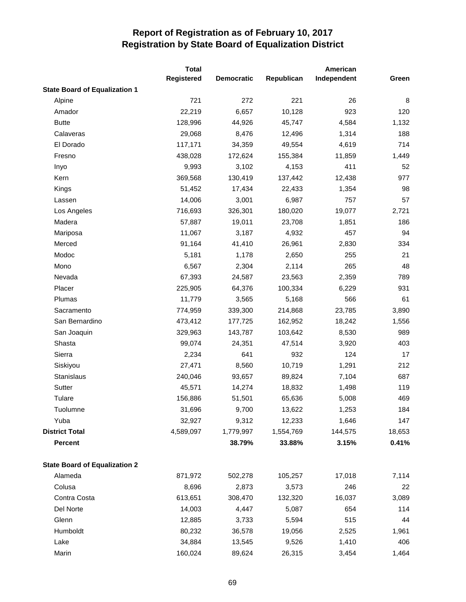|                                      | <b>Total</b>      |                   | American   |             |        |  |
|--------------------------------------|-------------------|-------------------|------------|-------------|--------|--|
|                                      | <b>Registered</b> | <b>Democratic</b> | Republican | Independent | Green  |  |
| <b>State Board of Equalization 1</b> |                   |                   |            |             |        |  |
| Alpine                               | 721               | 272               | 221        | 26          | 8      |  |
| Amador                               | 22,219            | 6,657             | 10,128     | 923         | 120    |  |
| <b>Butte</b>                         | 128,996           | 44,926            | 45,747     | 4,584       | 1,132  |  |
| Calaveras                            | 29,068            | 8,476             | 12,496     | 1,314       | 188    |  |
| El Dorado                            | 117,171           | 34,359            | 49,554     | 4,619       | 714    |  |
| Fresno                               | 438,028           | 172,624           | 155,384    | 11,859      | 1,449  |  |
| Inyo                                 | 9,993             | 3,102             | 4,153      | 411         | 52     |  |
| Kern                                 | 369,568           | 130,419           | 137,442    | 12,438      | 977    |  |
| Kings                                | 51,452            | 17,434            | 22,433     | 1,354       | 98     |  |
| Lassen                               | 14,006            | 3,001             | 6,987      | 757         | 57     |  |
| Los Angeles                          | 716,693           | 326,301           | 180,020    | 19,077      | 2,721  |  |
| Madera                               | 57,887            | 19,011            | 23,708     | 1,851       | 186    |  |
| Mariposa                             | 11,067            | 3,187             | 4,932      | 457         | 94     |  |
| Merced                               | 91,164            | 41,410            | 26,961     | 2,830       | 334    |  |
| Modoc                                | 5,181             | 1,178             | 2,650      | 255         | 21     |  |
| Mono                                 | 6,567             | 2,304             | 2,114      | 265         | 48     |  |
| Nevada                               | 67,393            | 24,587            | 23,563     | 2,359       | 789    |  |
| Placer                               | 225,905           | 64,376            | 100,334    | 6,229       | 931    |  |
| Plumas                               | 11,779            | 3,565             | 5,168      | 566         | 61     |  |
| Sacramento                           | 774,959           | 339,300           | 214,868    | 23,785      | 3,890  |  |
| San Bernardino                       | 473,412           | 177,725           | 162,952    | 18,242      | 1,556  |  |
| San Joaquin                          | 329,963           | 143,787           | 103,642    | 8,530       | 989    |  |
| Shasta                               | 99,074            | 24,351            | 47,514     | 3,920       | 403    |  |
| Sierra                               | 2,234             | 641               | 932        | 124         | 17     |  |
| Siskiyou                             | 27,471            | 8,560             | 10,719     | 1,291       | 212    |  |
| Stanislaus                           | 240,046           | 93,657            | 89,824     | 7,104       | 687    |  |
| Sutter                               | 45,571            | 14,274            | 18,832     | 1,498       | 119    |  |
| Tulare                               | 156,886           | 51,501            | 65,636     | 5,008       | 469    |  |
| Tuolumne                             | 31,696            | 9,700             | 13,622     | 1,253       | 184    |  |
| Yuba                                 | 32,927            | 9,312             | 12,233     | 1,646       | 147    |  |
| <b>District Total</b>                | 4,589,097         | 1,779,997         | 1,554,769  | 144,575     | 18,653 |  |
| <b>Percent</b>                       |                   | 38.79%            | 33.88%     | 3.15%       | 0.41%  |  |
| <b>State Board of Equalization 2</b> |                   |                   |            |             |        |  |
| Alameda                              | 871,972           | 502,278           | 105,257    | 17,018      | 7,114  |  |
| Colusa                               | 8,696             | 2,873             | 3,573      | 246         | 22     |  |
| Contra Costa                         | 613,651           | 308,470           | 132,320    | 16,037      | 3,089  |  |
| Del Norte                            | 14,003            | 4,447             | 5,087      | 654         | 114    |  |
| Glenn                                | 12,885            | 3,733             | 5,594      | 515         | 44     |  |
| Humboldt                             | 80,232            | 36,578            | 19,056     | 2,525       | 1,961  |  |
| Lake                                 | 34,884            | 13,545            | 9,526      | 1,410       | 406    |  |
| Marin                                | 160,024           | 89,624            | 26,315     | 3,454       | 1,464  |  |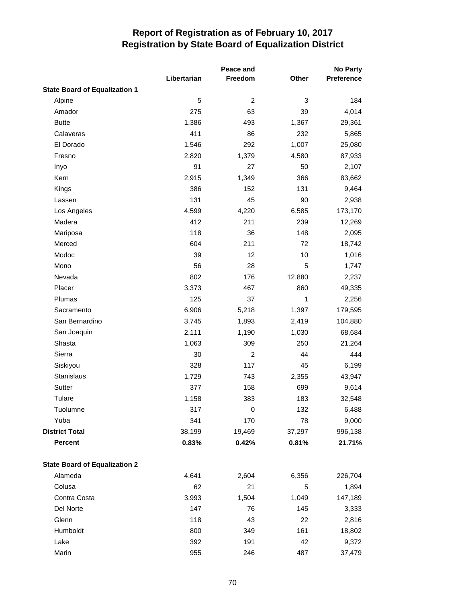|                                      | Libertarian | Peace and<br>Freedom | Other  | <b>No Party</b><br>Preference |
|--------------------------------------|-------------|----------------------|--------|-------------------------------|
| <b>State Board of Equalization 1</b> |             |                      |        |                               |
| Alpine                               | 5           | $\overline{c}$       | 3      | 184                           |
| Amador                               | 275         | 63                   | 39     | 4,014                         |
| <b>Butte</b>                         | 1,386       | 493                  | 1,367  | 29,361                        |
| Calaveras                            | 411         | 86                   | 232    | 5,865                         |
| El Dorado                            | 1,546       | 292                  | 1,007  | 25,080                        |
| Fresno                               | 2,820       | 1,379                | 4,580  | 87,933                        |
| Inyo                                 | 91          | 27                   | 50     | 2,107                         |
| Kern                                 | 2,915       | 1,349                | 366    | 83,662                        |
| Kings                                | 386         | 152                  | 131    | 9,464                         |
| Lassen                               | 131         | 45                   | 90     | 2,938                         |
| Los Angeles                          | 4,599       | 4,220                | 6,585  | 173,170                       |
| Madera                               | 412         | 211                  | 239    | 12,269                        |
| Mariposa                             | 118         | 36                   | 148    | 2,095                         |
| Merced                               | 604         | 211                  | 72     | 18,742                        |
| Modoc                                | 39          | 12                   | 10     | 1,016                         |
| Mono                                 | 56          | 28                   | 5      | 1,747                         |
| Nevada                               | 802         | 176                  | 12,880 | 2,237                         |
| Placer                               | 3,373       | 467                  | 860    | 49,335                        |
| Plumas                               | 125         | 37                   | 1      | 2,256                         |
| Sacramento                           | 6,906       | 5,218                | 1,397  | 179,595                       |
| San Bernardino                       | 3,745       | 1,893                | 2,419  | 104,880                       |
| San Joaquin                          | 2,111       | 1,190                | 1,030  | 68,684                        |
| Shasta                               | 1,063       | 309                  | 250    | 21,264                        |
| Sierra                               | 30          | $\overline{c}$       | 44     | 444                           |
| Siskiyou                             | 328         | 117                  | 45     | 6,199                         |
| <b>Stanislaus</b>                    | 1,729       | 743                  | 2,355  | 43,947                        |
| Sutter                               | 377         | 158                  | 699    | 9,614                         |
| Tulare                               | 1,158       | 383                  | 183    | 32,548                        |
| Tuolumne                             | 317         | 0                    | 132    | 6,488                         |
| Yuba                                 | 341         | 170                  | 78     | 9,000                         |
| <b>District Total</b>                | 38,199      | 19,469               | 37,297 | 996,138                       |
| <b>Percent</b>                       | 0.83%       | 0.42%                | 0.81%  | 21.71%                        |
| <b>State Board of Equalization 2</b> |             |                      |        |                               |
| Alameda                              | 4,641       | 2,604                | 6,356  | 226,704                       |
| Colusa                               | 62          | 21                   | 5      | 1,894                         |
| Contra Costa                         | 3,993       | 1,504                | 1,049  | 147,189                       |
| Del Norte                            | 147         | 76                   | 145    | 3,333                         |
| Glenn                                | 118         | 43                   | 22     | 2,816                         |
| Humboldt                             | 800         | 349                  | 161    | 18,802                        |
| Lake                                 | 392         | 191                  | 42     | 9,372                         |
| Marin                                | 955         | 246                  | 487    | 37,479                        |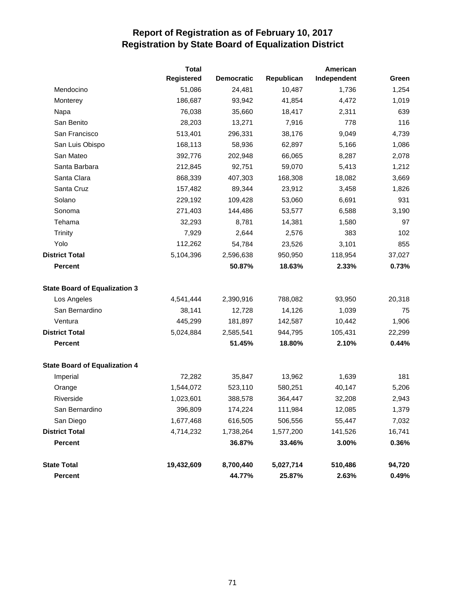|                                      | Total             |                   |            | American    |        |  |
|--------------------------------------|-------------------|-------------------|------------|-------------|--------|--|
|                                      | <b>Registered</b> | <b>Democratic</b> | Republican | Independent | Green  |  |
| Mendocino                            | 51,086            | 24,481            | 10,487     | 1,736       | 1,254  |  |
| Monterey                             | 186,687           | 93,942            | 41,854     | 4,472       | 1,019  |  |
| Napa                                 | 76,038            | 35,660            | 18,417     | 2,311       | 639    |  |
| San Benito                           | 28,203            | 13,271            | 7,916      | 778         | 116    |  |
| San Francisco                        | 513,401           | 296,331           | 38,176     | 9,049       | 4,739  |  |
| San Luis Obispo                      | 168,113           | 58,936            | 62,897     | 5,166       | 1,086  |  |
| San Mateo                            | 392,776           | 202,948           | 66,065     | 8,287       | 2,078  |  |
| Santa Barbara                        | 212,845           | 92,751            | 59,070     | 5,413       | 1,212  |  |
| Santa Clara                          | 868,339           | 407,303           | 168,308    | 18,082      | 3,669  |  |
| Santa Cruz                           | 157,482           | 89,344            | 23,912     | 3,458       | 1,826  |  |
| Solano                               | 229,192           | 109,428           | 53,060     | 6,691       | 931    |  |
| Sonoma                               | 271,403           | 144,486           | 53,577     | 6,588       | 3,190  |  |
| Tehama                               | 32,293            | 8,781             | 14,381     | 1,580       | 97     |  |
| Trinity                              | 7,929             | 2,644             | 2,576      | 383         | 102    |  |
| Yolo                                 | 112,262           | 54,784            | 23,526     | 3,101       | 855    |  |
| <b>District Total</b>                | 5,104,396         | 2,596,638         | 950,950    | 118,954     | 37,027 |  |
| <b>Percent</b>                       |                   | 50.87%            | 18.63%     | 2.33%       | 0.73%  |  |
| <b>State Board of Equalization 3</b> |                   |                   |            |             |        |  |
| Los Angeles                          | 4,541,444         | 2,390,916         | 788,082    | 93,950      | 20,318 |  |
| San Bernardino                       | 38,141            | 12,728            | 14,126     | 1,039       | 75     |  |
| Ventura                              | 445,299           | 181,897           | 142,587    | 10,442      | 1,906  |  |
| <b>District Total</b>                | 5,024,884         | 2,585,541         | 944,795    | 105,431     | 22,299 |  |
| <b>Percent</b>                       |                   | 51.45%            | 18.80%     | 2.10%       | 0.44%  |  |
| <b>State Board of Equalization 4</b> |                   |                   |            |             |        |  |
| Imperial                             | 72,282            | 35,847            | 13,962     | 1,639       | 181    |  |
| Orange                               | 1,544,072         | 523,110           | 580,251    | 40,147      | 5,206  |  |
| Riverside                            | 1,023,601         | 388,578           | 364,447    | 32,208      | 2,943  |  |
| San Bernardino                       | 396,809           | 174,224           | 111,984    | 12,085      | 1,379  |  |
| San Diego                            | 1,677,468         | 616,505           | 506,556    | 55,447      | 7,032  |  |
| <b>District Total</b>                | 4,714,232         | 1,738,264         | 1,577,200  | 141,526     | 16,741 |  |
| <b>Percent</b>                       |                   | 36.87%            | 33.46%     | 3.00%       | 0.36%  |  |
| <b>State Total</b>                   | 19,432,609        | 8,700,440         | 5,027,714  | 510,486     | 94,720 |  |
| Percent                              |                   | 44.77%            | 25.87%     | 2.63%       | 0.49%  |  |